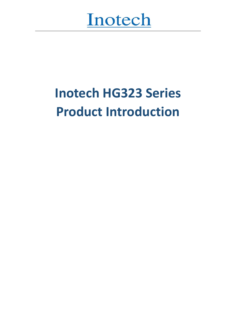# Inotech

## **Inotech HG323 Series Product Introduction**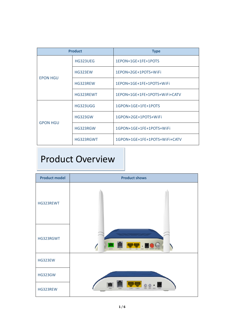| <b>Product</b>  |                 | <b>Type</b>                   |
|-----------------|-----------------|-------------------------------|
|                 | HG323UEG        | 1EPON+1GE+1FE+1POTS           |
| <b>EPON HGU</b> | <b>HG323EW</b>  | 1EPON+2GE+1POTS+WiFi          |
|                 | HG323REW        | 1EPON+1GE+1FE+1POTS+WiFi      |
|                 | HG323REWT       | 1EPON+1GE+1FE+1POTS+WiFi+CATV |
|                 | <b>HG323UGG</b> | 1GPON+1GE+1FE+1POTS           |
| <b>GPON HGU</b> | <b>HG323GW</b>  | 1GPON+2GE+1POTS+WiFi          |
|                 | HG323RGW        | 1GPON+1GE+1FE+1POTS+WiFi      |
|                 | HG323RGWT       | 1GPON+1GE+1FE+1POTS+WiFi+CATV |

#### Product Overview

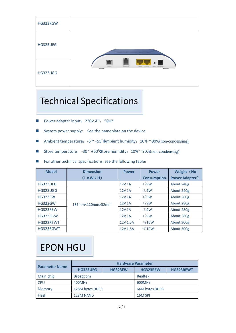| HG323RGW        |                                                     |
|-----------------|-----------------------------------------------------|
| <b>HG323UEG</b> |                                                     |
| <b>HG323UGG</b> | PONT<br>PHONE<br>LAWS<br><b>RET POWER</b><br>L'AWEL |

#### Technical Specifications

- Power adapter input: 220V AC, 50HZ
- System power supply: See the nameplate on the device
- Ambient temperature: -5 ~ +55<sup>°</sup>Ambient humidity: 10% ~ 90%(non-condensing)
- Store temperature: -30 ~ +60°Store humidity: 10% ~ 90%(non-condensing)
- For other technical specifications, see the following table:

| <b>Model</b>    | <b>Dimension</b> | <b>Power</b> | <b>Power</b>       | Weight (No            |
|-----------------|------------------|--------------|--------------------|-----------------------|
|                 | (LxWXH)          |              | <b>Consumption</b> | <b>Power Adapter)</b> |
| HG323UEG        |                  | 12V, 1A      | $\leq$ 9W          | About 240g            |
| <b>HG323UGG</b> |                  | 12V,1A       | $\leq$ 9W          | About 240g            |
| <b>HG323EW</b>  | 185mm×120mm×32mm | 12V,1A       | $\leq$ 9W          | About 280g            |
| <b>HG323GW</b>  |                  | 12V,1A       | $\leq$ 9W          | About 280g            |
| HG323REW        |                  | 12V,1A       | $\leq$ 9W          | About 280g            |
| HG323RGW        |                  | 12V.1A       | $\leq$ 9W          | About 280g            |
| HG323REWT       |                  | 12V, 1.5A    | $\leq 10W$         | About 300g            |
| HG323RGWT       |                  | 12V, 1.5A    | $\leq 10W$         | About 300g            |

### EPON HGU

| <b>Parameter Name</b> | <b>Hardware Parameter</b> |                |                 |                  |  |
|-----------------------|---------------------------|----------------|-----------------|------------------|--|
|                       | <b>HG323UEG</b>           | <b>HG323EW</b> | <b>HG323REW</b> | <b>HG323REWT</b> |  |
| Main chip             | <b>Broadcom</b>           |                | Realtek         |                  |  |
| <b>CPU</b>            | 400MHz                    |                | 600MHz          |                  |  |
| Memory                | 128M bytes DDR3           |                | 64M bytes DDR3  |                  |  |
| Flash                 | <b>128M NAND</b>          |                | 16M SPI         |                  |  |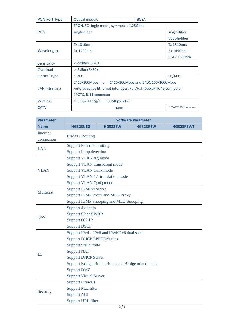| PON Port Type        | Optical module                                                      | <b>BOSA</b> |                    |
|----------------------|---------------------------------------------------------------------|-------------|--------------------|
|                      | EPON, SC single-mode, symmetric 1.25Gbps                            |             |                    |
| <b>PON</b>           | single-fiber                                                        |             | single-fiber       |
|                      |                                                                     |             | double-fiber       |
|                      | Tx 1310nm,                                                          |             | Tx 1310nm,         |
| Wavelength           | <b>Rx 1490nm</b>                                                    |             | <b>Rx 1490nm</b>   |
|                      |                                                                     |             | <b>CATV 1550nm</b> |
| Sensitivity          | $< -27$ dBm(PX20+)                                                  |             |                    |
| Overload             | $> -3d$ Bm(PX20+)                                                   |             |                    |
| <b>Optical Type</b>  | SC/PC<br>SC/APC                                                     |             |                    |
|                      | 2*10/100Mbps or 1*10/100Mbps and 1*10/100/1000Mbps                  |             |                    |
| <b>LAN</b> interface | Auto adaptive Ethernet interfaces, Full/Half Duplex, RJ45 connector |             |                    |
|                      | 1POTS, RJ11 connector                                               |             |                    |
| Wireless             | IEEE802.11b/g/n,<br>300Mbps, 2T2R                                   |             |                    |
| <b>CATV</b>          | 1 CATV F Connector<br>none                                          |             |                    |

| <b>Parameter</b>       | <b>Software Parameter</b>         |                                                     |                 |                  |  |
|------------------------|-----------------------------------|-----------------------------------------------------|-----------------|------------------|--|
| <b>Name</b>            | <b>HG323UEG</b>                   | <b>HG323EW</b>                                      | <b>HG323REW</b> | <b>HG323REWT</b> |  |
| Internet<br>connection | Bridge / Routing                  |                                                     |                 |                  |  |
|                        | <b>Support Port rate limiting</b> |                                                     |                 |                  |  |
| <b>LAN</b>             | <b>Support Loop detection</b>     |                                                     |                 |                  |  |
|                        | Support VLAN tag mode             |                                                     |                 |                  |  |
|                        | Support VLAN transparent mode     |                                                     |                 |                  |  |
| <b>VLAN</b>            | Support VLAN trunk mode           |                                                     |                 |                  |  |
|                        |                                   | Support VLAN 1:1 translation mode                   |                 |                  |  |
|                        | Support VLAN QinQ mode            |                                                     |                 |                  |  |
|                        | Support IGMPv1/v2/v3              |                                                     |                 |                  |  |
| <b>Multicast</b>       |                                   | <b>Support IGMP Proxy and MLD Proxy</b>             |                 |                  |  |
|                        |                                   | <b>Support IGMP Snooping and MLD Snooping</b>       |                 |                  |  |
|                        | Support 4 queues                  |                                                     |                 |                  |  |
|                        | <b>Support SP and WRR</b>         |                                                     |                 |                  |  |
| QoS                    | Support 802.1P                    |                                                     |                 |                  |  |
| <b>Support DSCP</b>    |                                   |                                                     |                 |                  |  |
|                        |                                   | Support IPv4, IPv6 and IPv4/IPv6 dual stack         |                 |                  |  |
|                        | <b>Support DHCP/PPPOE/Statics</b> |                                                     |                 |                  |  |
|                        | <b>Support Static route</b>       |                                                     |                 |                  |  |
| L3                     | <b>Support NAT</b>                |                                                     |                 |                  |  |
|                        | <b>Support DHCP Server</b>        |                                                     |                 |                  |  |
|                        |                                   | Support Bridge, Route , Route and Bridge mixed mode |                 |                  |  |
|                        | <b>Support DMZ</b>                |                                                     |                 |                  |  |
|                        | <b>Support Virtual Server</b>     |                                                     |                 |                  |  |
|                        | <b>Support Firewall</b>           |                                                     |                 |                  |  |
| Security               | <b>Support Mac filter</b>         |                                                     |                 |                  |  |
|                        | <b>Support ACL</b>                |                                                     |                 |                  |  |
|                        | <b>Support URL filter</b>         |                                                     |                 |                  |  |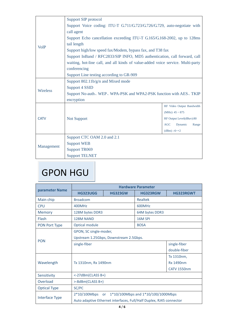|             | Support SIP protocol                                                            |                             |  |  |
|-------------|---------------------------------------------------------------------------------|-----------------------------|--|--|
|             | Support Voice coding: ITU-T G.711/G.723/G.726/G.729, auto-negotiate with        |                             |  |  |
|             | call agent                                                                      |                             |  |  |
|             | Support Echo cancellation exceeding ITU-T G.165/G.168-2002, up to 128ms         |                             |  |  |
| <b>VoIP</b> | tail length                                                                     |                             |  |  |
|             | Support high/low speed fax/Modem, bypass fax, and T38 fax                       |                             |  |  |
|             | Support InBand / RFC2833/SIP INFO, MD5 authentication, call forward, call       |                             |  |  |
|             | waiting, hot-line call, and all kinds of value-added voice service. Multi-party |                             |  |  |
|             | conferencing                                                                    |                             |  |  |
|             | Support Line testing according to GR-909                                        |                             |  |  |
|             | Support 802.11b/g/n and Mixed mode                                              |                             |  |  |
| Wireless    | Support 4 SSID                                                                  |                             |  |  |
|             | Support No-auth、WEP、WPA-PSK and WPA2-PSK function with AES、TKIP                 |                             |  |  |
|             | encryption                                                                      |                             |  |  |
|             |                                                                                 | RF Video Output Bandwidth   |  |  |
|             |                                                                                 | $(MHz): 45 \sim 875$        |  |  |
| <b>CATV</b> | Not Support                                                                     | RF Output Level(dBuv):80    |  |  |
|             |                                                                                 | AGC<br>Dynamic<br>Range     |  |  |
|             |                                                                                 | $(dBm) : -6 \rightarrow +2$ |  |  |
|             | Support CTC OAM 2.0 and 2.1                                                     |                             |  |  |
| Management  | <b>Support WEB</b>                                                              |                             |  |  |
|             | <b>Support TR069</b>                                                            |                             |  |  |
|             | <b>Support TELNET</b>                                                           |                             |  |  |

### GPON HGU

|                     | <b>Hardware Parameter</b>                                           |  |                |                    |
|---------------------|---------------------------------------------------------------------|--|----------------|--------------------|
| parameter Name      | <b>HG323UGG</b><br><b>HG323GW</b>                                   |  | HG323RGW       | <b>HG323RGWT</b>   |
| Main chip           | <b>Broadcom</b>                                                     |  | Realtek        |                    |
| <b>CPU</b>          | 400MHz                                                              |  | 600MHz         |                    |
| <b>Memory</b>       | 128M bytes DDR3                                                     |  | 64M bytes DDR3 |                    |
| Flash               | <b>128M NAND</b>                                                    |  | 16M SPI        |                    |
| PON Port Type       | Optical module                                                      |  | <b>BOSA</b>    |                    |
|                     | GPON, SC single-moder,                                              |  |                |                    |
| <b>PON</b>          | Upstream 1.25Gbps, Downstream 2.5Gbps.                              |  |                |                    |
|                     | single-fiber                                                        |  |                | single-fiber       |
|                     | double-fiber                                                        |  |                |                    |
|                     | Tx 1310nm, Rx 1490nm                                                |  |                | Tx 1310nm,         |
| Wavelength          |                                                                     |  |                | <b>Rx 1490nm</b>   |
|                     |                                                                     |  |                | <b>CATV 1550nm</b> |
| Sensitivity         | <-27dBm(CLASS B+)                                                   |  |                |                    |
| Overload            | >-8dBm(CLASS B+)                                                    |  |                |                    |
| <b>Optical Type</b> | SC/PC                                                               |  |                |                    |
|                     | 1*10/100Mbps and 1*10/100/1000Mbps<br>$2*10/100Mbps$<br><b>or</b>   |  |                |                    |
| Interface Type      | Auto adaptive Ethernet interfaces, Full/Half Duplex, RJ45 connector |  |                |                    |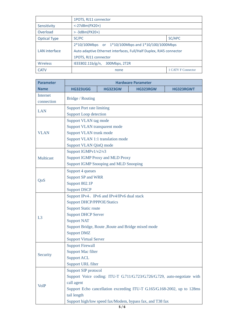|                      | 1POTS, RJ11 connector                                               |                    |  |
|----------------------|---------------------------------------------------------------------|--------------------|--|
| Sensitivity          | $< -27$ dBm(PX20+)                                                  |                    |  |
| Overload             | $> -3d$ Bm(PX20+)                                                   |                    |  |
| <b>Optical Type</b>  | SC/APC<br>SC/PC                                                     |                    |  |
|                      | $2*10/100$ Mbps or $1*10/100$ Mbps and $1*10/100/1000$ Mbps         |                    |  |
| <b>LAN</b> interface | Auto adaptive Ethernet interfaces, Full/Half Duplex, RJ45 connector |                    |  |
|                      | 1POTS, RJ11 connector                                               |                    |  |
| <b>Wireless</b>      | IEEE802.11b/g/n, 300Mbps, 2T2R                                      |                    |  |
| <b>CATV</b>          | none                                                                | 1 CATV F Connector |  |

| <b>Parameter</b>                           | <b>Hardware Parameter</b>         |                                                     |                                                                          |           |  |
|--------------------------------------------|-----------------------------------|-----------------------------------------------------|--------------------------------------------------------------------------|-----------|--|
| <b>Name</b>                                | <b>HG323UGG</b>                   | <b>HG323GW</b>                                      | HG323RGW                                                                 | HG323RGWT |  |
| Internet<br>connection                     | Bridge / Routing                  |                                                     |                                                                          |           |  |
| <b>LAN</b>                                 | <b>Support Port rate limiting</b> |                                                     |                                                                          |           |  |
|                                            | <b>Support Loop detection</b>     |                                                     |                                                                          |           |  |
|                                            | Support VLAN tag mode             |                                                     |                                                                          |           |  |
|                                            | Support VLAN transparent mode     |                                                     |                                                                          |           |  |
| <b>VLAN</b>                                | <b>Support VLAN trunk mode</b>    |                                                     |                                                                          |           |  |
|                                            |                                   | Support VLAN 1:1 translation mode                   |                                                                          |           |  |
|                                            | <b>Support VLAN QinQ mode</b>     |                                                     |                                                                          |           |  |
|                                            | Support IGMPv1/v2/v3              |                                                     |                                                                          |           |  |
| <b>Multicast</b>                           |                                   | <b>Support IGMP Proxy and MLD Proxy</b>             |                                                                          |           |  |
|                                            |                                   | <b>Support IGMP Snooping and MLD Snooping</b>       |                                                                          |           |  |
|                                            | Support 4 queues                  |                                                     |                                                                          |           |  |
|                                            | <b>Support SP and WRR</b>         |                                                     |                                                                          |           |  |
| QoS                                        | Support 802.1P                    |                                                     |                                                                          |           |  |
|                                            | <b>Support DSCP</b>               |                                                     |                                                                          |           |  |
| Support IPv4、IPv6 and IPv4/IPv6 dual stack |                                   |                                                     |                                                                          |           |  |
|                                            | <b>Support DHCP/PPPOE/Statics</b> |                                                     |                                                                          |           |  |
|                                            | <b>Support Static route</b>       |                                                     |                                                                          |           |  |
|                                            | <b>Support DHCP Server</b>        |                                                     |                                                                          |           |  |
| L <sub>3</sub>                             | <b>Support NAT</b>                |                                                     |                                                                          |           |  |
|                                            |                                   | Support Bridge, Route , Route and Bridge mixed mode |                                                                          |           |  |
|                                            | <b>Support DMZ</b>                |                                                     |                                                                          |           |  |
|                                            | <b>Support Virtual Server</b>     |                                                     |                                                                          |           |  |
|                                            | <b>Support Firewall</b>           |                                                     |                                                                          |           |  |
|                                            | <b>Support Mac filter</b>         |                                                     |                                                                          |           |  |
| Security                                   | <b>Support ACL</b>                |                                                     |                                                                          |           |  |
|                                            | <b>Support URL filter</b>         |                                                     |                                                                          |           |  |
|                                            | Support SIP protocol              |                                                     |                                                                          |           |  |
|                                            |                                   |                                                     | Support Voice coding: ITU-T G.711/G.723/G.726/G.729, auto-negotiate with |           |  |
| <b>VoIP</b>                                | call agent                        |                                                     |                                                                          |           |  |
|                                            |                                   |                                                     | Support Echo cancellation exceeding ITU-T G.165/G.168-2002, up to 128ms  |           |  |
|                                            | tail length                       |                                                     |                                                                          |           |  |
|                                            |                                   |                                                     | Support high/low speed fax/Modem, bypass fax, and T38 fax                |           |  |